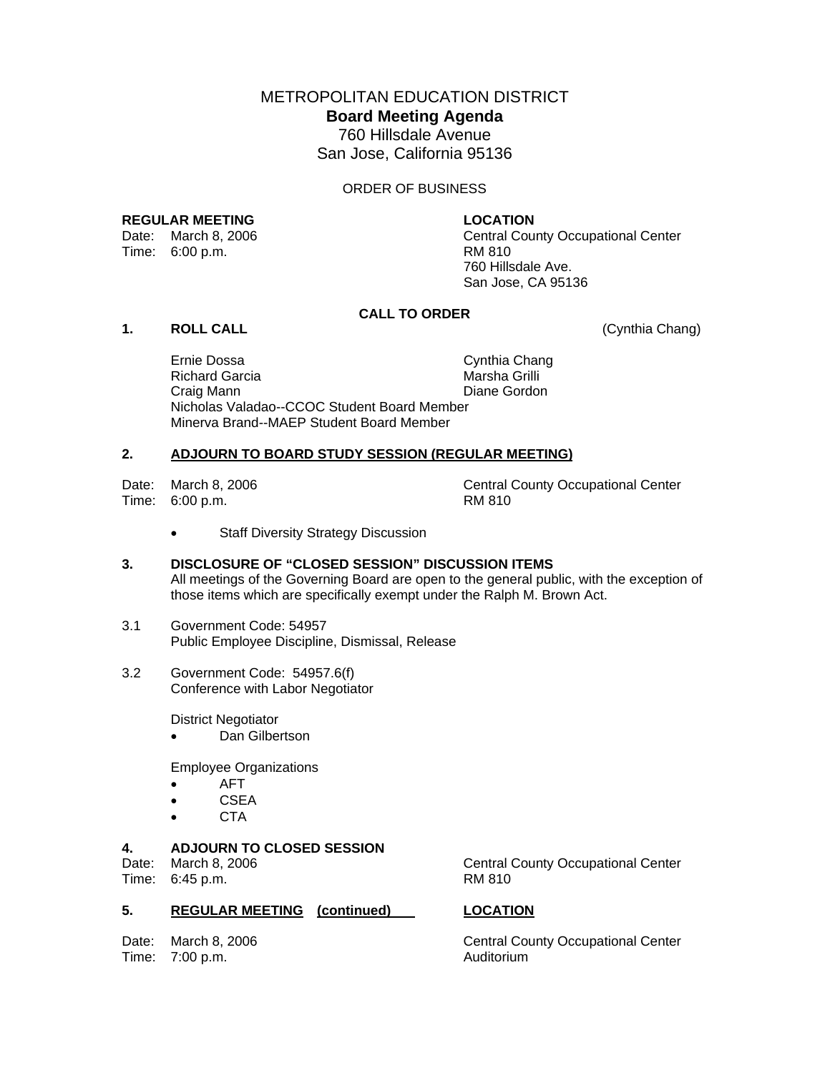METROPOLITAN EDUCATION DISTRICT **Board Meeting Agenda**  760 Hillsdale Avenue San Jose, California 95136

#### ORDER OF BUSINESS

### **REGULAR MEETING LOCATION**

Time: 6:00 p.m. RM 810

Date: March 8, 2006 Central County Occupational Center 760 Hillsdale Ave. San Jose, CA 95136

# **CALL TO ORDER**

# **1. ROLL CALL** (Cynthia Chang)

Ernie Dossa Cynthia Chang Richard Garcia **Marsha Grilli**  Craig Mann Diane Gordon Nicholas Valadao--CCOC Student Board Member Minerva Brand--MAEP Student Board Member

### **2. ADJOURN TO BOARD STUDY SESSION (REGULAR MEETING)**

Time: 6:00 p.m. RM 810

Date: March 8, 2006 Central County Occupational Center

- Staff Diversity Strategy Discussion
- **3. DISCLOSURE OF "CLOSED SESSION" DISCUSSION ITEMS**  All meetings of the Governing Board are open to the general public, with the exception of those items which are specifically exempt under the Ralph M. Brown Act.
- 3.1 Government Code: 54957 Public Employee Discipline, Dismissal, Release
- 3.2 Government Code: 54957.6(f) Conference with Labor Negotiator

District Negotiator

• Dan Gilbertson

Employee Organizations

- AFT
- CSEA
- CTA

# **4. ADJOURN TO CLOSED SESSION**

Time: 6:45 p.m.

## **5. REGULAR MEETING (continued) LOCATION**

Time: 7:00 p.m. Auditorium

Date: March 8, 2006 Central County Occupational Center<br>
Time: 6:45 p.m. Central County Occupational Center

Date: March 8, 2006 Central County Occupational Center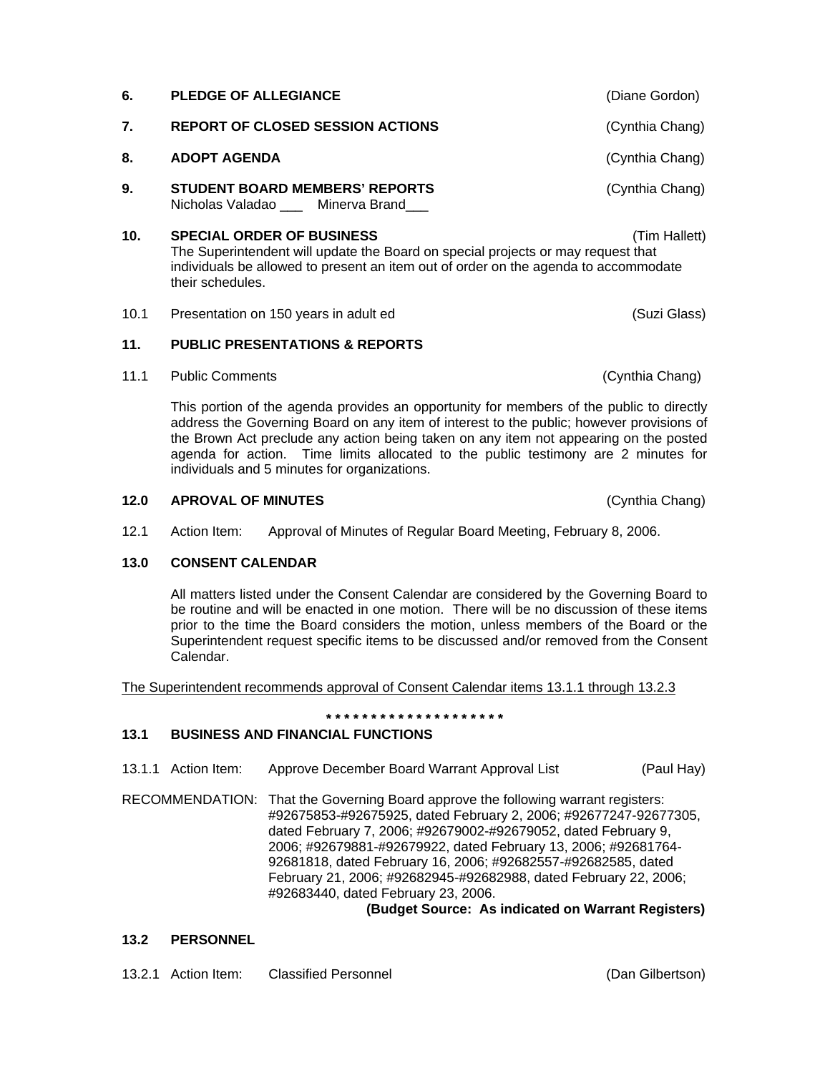| 6.   | <b>PLEDGE OF ALLEGIANCE</b>                                                                                                                                                                                                                      | (Diane Gordon)  |  |  |  |  |
|------|--------------------------------------------------------------------------------------------------------------------------------------------------------------------------------------------------------------------------------------------------|-----------------|--|--|--|--|
| 7.   | <b>REPORT OF CLOSED SESSION ACTIONS</b>                                                                                                                                                                                                          | (Cynthia Chang) |  |  |  |  |
| 8.   | <b>ADOPT AGENDA</b>                                                                                                                                                                                                                              | (Cynthia Chang) |  |  |  |  |
| 9.   | <b>STUDENT BOARD MEMBERS' REPORTS</b><br>Nicholas Valadao ___ Minerva Brand___                                                                                                                                                                   | (Cynthia Chang) |  |  |  |  |
| 10.  | <b>SPECIAL ORDER OF BUSINESS</b><br>(Tim Hallett)<br>The Superintendent will update the Board on special projects or may request that<br>individuals be allowed to present an item out of order on the agenda to accommodate<br>their schedules. |                 |  |  |  |  |
| 10.1 | Presentation on 150 years in adult ed                                                                                                                                                                                                            | (Suzi Glass)    |  |  |  |  |
| 11.  | <b>PUBLIC PRESENTATIONS &amp; REPORTS</b>                                                                                                                                                                                                        |                 |  |  |  |  |
|      |                                                                                                                                                                                                                                                  |                 |  |  |  |  |

11.1 Public Comments (Cynthia Chang)

This portion of the agenda provides an opportunity for members of the public to directly address the Governing Board on any item of interest to the public; however provisions of the Brown Act preclude any action being taken on any item not appearing on the posted agenda for action. Time limits allocated to the public testimony are 2 minutes for individuals and 5 minutes for organizations.

## **12.0 APROVAL OF MINUTES** (Cynthia Chang)

12.1 Action Item: Approval of Minutes of Regular Board Meeting, February 8, 2006.

# **13.0 CONSENT CALENDAR**

All matters listed under the Consent Calendar are considered by the Governing Board to be routine and will be enacted in one motion. There will be no discussion of these items prior to the time the Board considers the motion, unless members of the Board or the Superintendent request specific items to be discussed and/or removed from the Consent Calendar.

The Superintendent recommends approval of Consent Calendar items 13.1.1 through 13.2.3

#### **\* \* \* \* \* \* \* \* \* \* \* \* \* \* \* \* \* \* \* \***

# **13.1 BUSINESS AND FINANCIAL FUNCTIONS**

- 13.1.1 Action Item: Approve December Board Warrant Approval List (Paul Hay)
- RECOMMENDATION: That the Governing Board approve the following warrant registers: #92675853-#92675925, dated February 2, 2006; #92677247-92677305, dated February 7, 2006; #92679002-#92679052, dated February 9, 2006; #92679881-#92679922, dated February 13, 2006; #92681764- 92681818, dated February 16, 2006; #92682557-#92682585, dated February 21, 2006; #92682945-#92682988, dated February 22, 2006; #92683440, dated February 23, 2006.

# **(Budget Source: As indicated on Warrant Registers)**

## **13.2 PERSONNEL**

13.2.1 Action Item: Classified Personnel (Dan Gilbertson)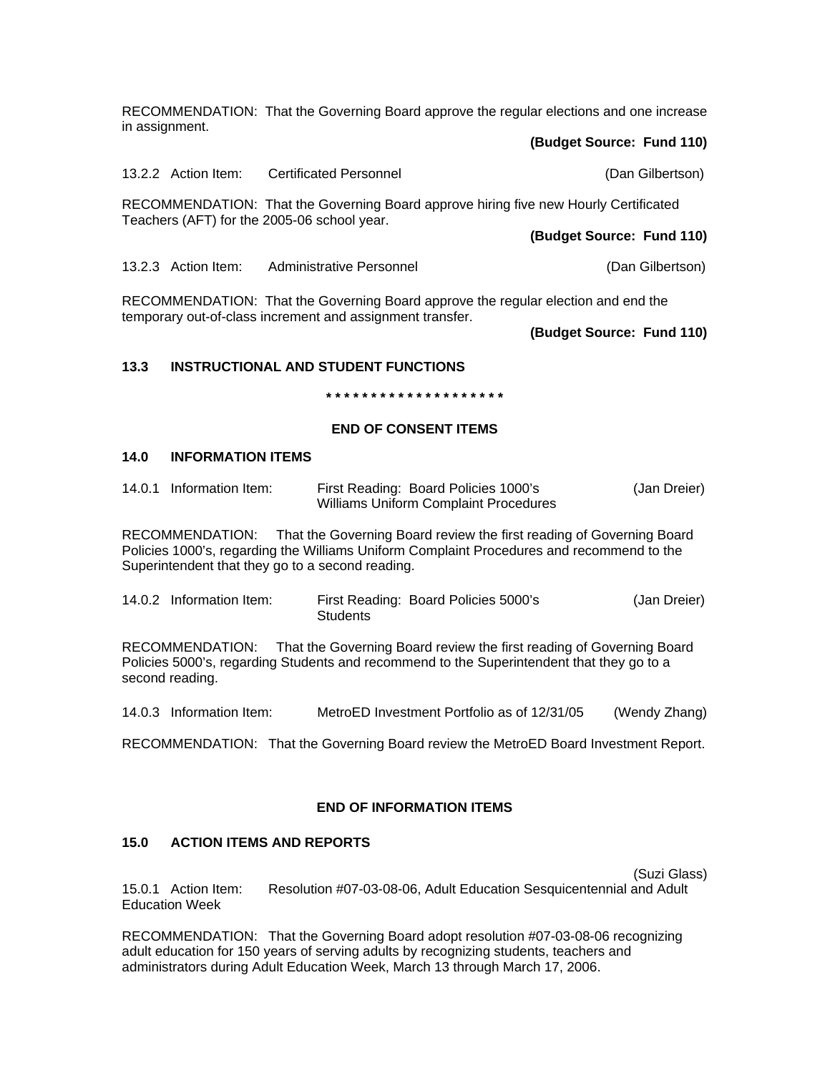RECOMMENDATION: That the Governing Board approve the regular elections and one increase in assignment.

#### **(Budget Source: Fund 110)**

13.2.2 Action Item: Certificated Personnel (Dan Gilbertson) RECOMMENDATION: That the Governing Board approve hiring five new Hourly Certificated Teachers (AFT) for the 2005-06 school year. **(Budget Source: Fund 110)** 13.2.3 Action Item: Administrative Personnel (Dan Gilbertson)

RECOMMENDATION: That the Governing Board approve the regular election and end the temporary out-of-class increment and assignment transfer.

**(Budget Source: Fund 110)** 

# **13.3 INSTRUCTIONAL AND STUDENT FUNCTIONS**

**\* \* \* \* \* \* \* \* \* \* \* \* \* \* \* \* \* \* \* \*** 

## **END OF CONSENT ITEMS**

## **14.0 INFORMATION ITEMS**

| 14.0.1 Information Item: | First Reading: Board Policies 1000's         | (Jan Dreier) |
|--------------------------|----------------------------------------------|--------------|
|                          | <b>Williams Uniform Complaint Procedures</b> |              |

RECOMMENDATION: That the Governing Board review the first reading of Governing Board Policies 1000's, regarding the Williams Uniform Complaint Procedures and recommend to the Superintendent that they go to a second reading.

14.0.2 Information Item: First Reading: Board Policies 5000's (Jan Dreier) Students

RECOMMENDATION: That the Governing Board review the first reading of Governing Board Policies 5000's, regarding Students and recommend to the Superintendent that they go to a second reading.

14.0.3 Information Item: MetroED Investment Portfolio as of 12/31/05 (Wendy Zhang)

RECOMMENDATION: That the Governing Board review the MetroED Board Investment Report.

# **END OF INFORMATION ITEMS**

# **15.0 ACTION ITEMS AND REPORTS**

(Suzi Glass)

15.0.1 Action Item: Resolution #07-03-08-06, Adult Education Sesquicentennial and Adult Education Week

RECOMMENDATION: That the Governing Board adopt resolution #07-03-08-06 recognizing adult education for 150 years of serving adults by recognizing students, teachers and administrators during Adult Education Week, March 13 through March 17, 2006.